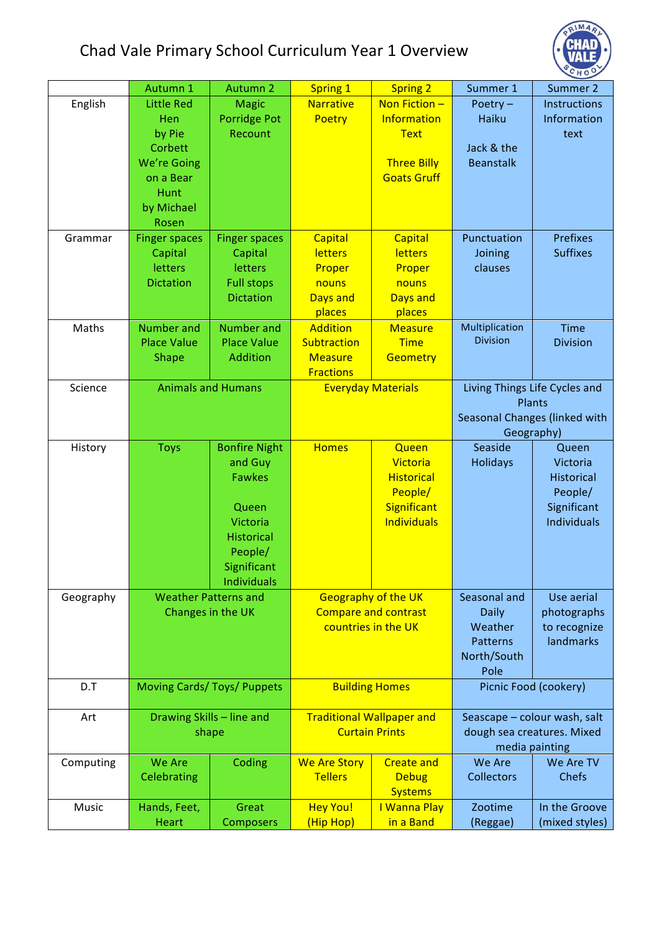## Chad Vale Primary School Curriculum Year 1 Overview



|           | Autumn 1                           | Autumn 2             | <b>Spring 1</b>                                           | <b>Spring 2</b>                  | Summer 1                                     | Summer 2                  |
|-----------|------------------------------------|----------------------|-----------------------------------------------------------|----------------------------------|----------------------------------------------|---------------------------|
| English   | <b>Little Red</b>                  | <b>Magic</b>         | <b>Narrative</b>                                          | Non Fiction -                    | Poetry $-$                                   | Instructions              |
|           | Hen                                | <b>Porridge Pot</b>  | Poetry                                                    | Information                      | Haiku                                        | Information               |
|           | by Pie                             | Recount              |                                                           | <b>Text</b>                      |                                              | text                      |
|           | Corbett                            |                      |                                                           |                                  | Jack & the                                   |                           |
|           | <b>We're Going</b>                 |                      |                                                           | <b>Three Billy</b>               | <b>Beanstalk</b>                             |                           |
|           | on a Bear                          |                      |                                                           | <b>Goats Gruff</b>               |                                              |                           |
|           | Hunt                               |                      |                                                           |                                  |                                              |                           |
|           | by Michael                         |                      |                                                           |                                  |                                              |                           |
| Grammar   | Rosen                              | <b>Finger spaces</b> | Capital                                                   |                                  | Punctuation                                  | <b>Prefixes</b>           |
|           | <b>Finger spaces</b><br>Capital    | Capital              | letters                                                   | <b>Capital</b><br><b>letters</b> | Joining                                      | <b>Suffixes</b>           |
|           | letters                            | letters              | Proper                                                    | Proper                           | clauses                                      |                           |
|           | <b>Dictation</b>                   | <b>Full stops</b>    | nouns                                                     | nouns                            |                                              |                           |
|           |                                    | <b>Dictation</b>     | Days and                                                  | Days and                         |                                              |                           |
|           |                                    |                      | places                                                    | places                           |                                              |                           |
| Maths     | <b>Number</b> and                  | <b>Number and</b>    | <b>Addition</b>                                           | <b>Measure</b>                   | Multiplication                               | <b>Time</b>               |
|           | <b>Place Value</b>                 | <b>Place Value</b>   | <b>Subtraction</b>                                        | <b>Time</b>                      | <b>Division</b>                              | <b>Division</b>           |
|           | Shape                              | <b>Addition</b>      | <b>Measure</b>                                            | Geometry                         |                                              |                           |
|           |                                    |                      | <b>Fractions</b>                                          |                                  |                                              |                           |
| Science   | <b>Animals and Humans</b>          |                      | <b>Everyday Materials</b>                                 |                                  | Living Things Life Cycles and<br>Plants      |                           |
|           |                                    |                      |                                                           |                                  | Seasonal Changes (linked with                |                           |
|           |                                    |                      |                                                           |                                  | Geography)                                   |                           |
| History   | <b>Toys</b>                        | <b>Bonfire Night</b> | <b>Homes</b>                                              | Queen                            | Seaside                                      | Queen                     |
|           |                                    | and Guy              |                                                           | Victoria                         | Holidays                                     | Victoria                  |
|           |                                    | <b>Fawkes</b>        |                                                           | <b>Historical</b>                |                                              | <b>Historical</b>         |
|           |                                    |                      |                                                           | People/                          |                                              | People/                   |
|           |                                    | Queen                |                                                           | Significant                      |                                              | Significant               |
|           |                                    | Victoria             |                                                           | <b>Individuals</b>               |                                              | <b>Individuals</b>        |
|           |                                    | <b>Historical</b>    |                                                           |                                  |                                              |                           |
|           |                                    | People/              |                                                           |                                  |                                              |                           |
|           |                                    | Significant          |                                                           |                                  |                                              |                           |
|           |                                    | <b>Individuals</b>   |                                                           |                                  |                                              |                           |
| Geography | <b>Weather Patterns and</b>        |                      | <b>Geography of the UK</b>                                |                                  | Seasonal and                                 | Use aerial                |
|           | Changes in the UK                  |                      | <b>Compare and contrast</b><br>countries in the UK        |                                  | Daily                                        | photographs               |
|           |                                    |                      |                                                           |                                  | Weather                                      | to recognize<br>landmarks |
|           |                                    |                      |                                                           |                                  | <b>Patterns</b>                              |                           |
|           |                                    |                      |                                                           |                                  | North/South<br>Pole                          |                           |
| D.T       | <b>Moving Cards/ Toys/ Puppets</b> |                      | <b>Building Homes</b>                                     |                                  |                                              | Picnic Food (cookery)     |
|           |                                    |                      |                                                           |                                  |                                              |                           |
| Art       | Drawing Skills - line and<br>shape |                      | <b>Traditional Wallpaper and</b><br><b>Curtain Prints</b> |                                  | Seascape - colour wash, salt                 |                           |
|           |                                    |                      |                                                           |                                  | dough sea creatures. Mixed<br>media painting |                           |
| Computing | We Are<br>Coding                   |                      | <b>We Are Story</b><br><b>Create and</b>                  |                                  | We Are                                       | We Are TV                 |
|           | Celebrating                        |                      | <b>Tellers</b>                                            | <b>Debug</b>                     | <b>Collectors</b>                            | <b>Chefs</b>              |
|           |                                    |                      |                                                           | <b>Systems</b>                   |                                              |                           |
| Music     | Hands, Feet,                       | Great                | <b>Hey You!</b>                                           | I Wanna Play                     | Zootime                                      | In the Groove             |
|           | Heart                              | Composers            | (Hip Hop)                                                 | in a Band                        | (Reggae)                                     | (mixed styles)            |